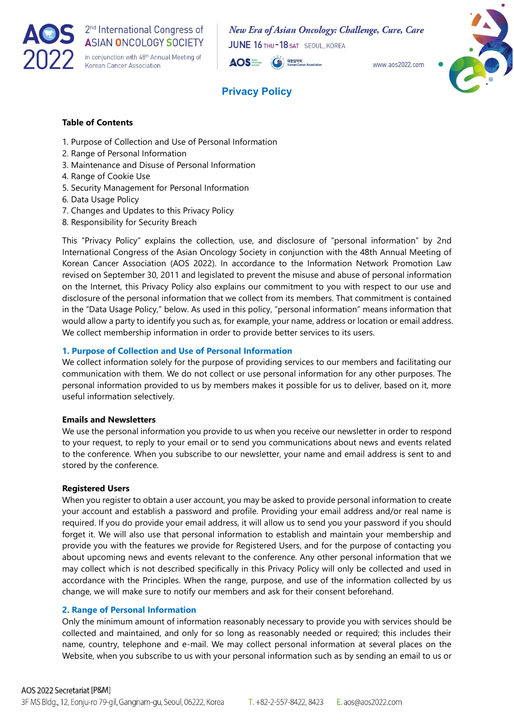

New Era of Asian Oncology: Challenge, Cure, Care JUNE 16 THU-18 SAT SEOUL, KOREA

 $MMMM$  ans 2022 com

**AOS** 대한암학회



# **Privacy Policy**

# **Table of Contents**

- 1. Purpose of Collection and Use of Personal Information
- 2. Range of Personal Information
- 3. Maintenance and Disuse of Personal Information
- 4. Range of Cookie Use
- 5. Security Management for Personal Information
- 6. Data Usage Policy
- 7. Changes and Updates to this Privacy Policy
- 8. Responsibility for Security Breach

This "Privacy Policy" explains the collection, use, and disclosure of "personal information" by 2nd International Congress of the Asian Oncology Society in conjunction with the 48th Annual Meeting of Korean Cancer Association (AOS 2022). In accordance to the Information Network Promotion Law revised on September 30, 2011 and legislated to prevent the misuse and abuse of personal information on the Internet, this Privacy Policy also explains our commitment to you with respect to our use and disclosure of the personal information that we collect from its members. That commitment is contained in the "Data Usage Policy," below. As used in this policy, "personal information" means information that would allow a party to identify you such as, for example, your name, address or location or email address. We collect membership information in order to provide better services to its users.

#### **1. Purpose of Collection and Use of Personal Information**

We collect information solely for the purpose of providing services to our members and facilitating our communication with them. We do not collect or use personal information for any other purposes. The personal information provided to us by members makes it possible for us to deliver, based on it, more useful information selectively.

#### **Emails and Newsletters**

We use the personal information you provide to us when you receive our newsletter in order to respond to your request, to reply to your email or to send you communications about news and events related to the conference. When you subscribe to our newsletter, your name and email address is sent to and stored by the conference.

#### **Registered Users**

When you register to obtain a user account, you may be asked to provide personal information to create your account and establish a password and profile. Providing your email address and/or real name is required. If you do provide your email address, it will allow us to send you your password if you should forget it. We will also use that personal information to establish and maintain your membership and provide you with the features we provide for Registered Users, and for the purpose of contacting you about upcoming news and events relevant to the conference. Any other personal information that we may collect which is not described specifically in this Privacy Policy will only be collected and used in accordance with the Principles. When the range, purpose, and use of the information collected by us change, we will make sure to notify our members and ask for their consent beforehand.

#### **2. Range of Personal Information**

Only the minimum amount of information reasonably necessary to provide you with services should be collected and maintained, and only for so long as reasonably needed or required; this includes their name, country, telephone and e-mail. We may collect personal information at several places on the Website, when you subscribe to us with your personal information such as by sending an email to us or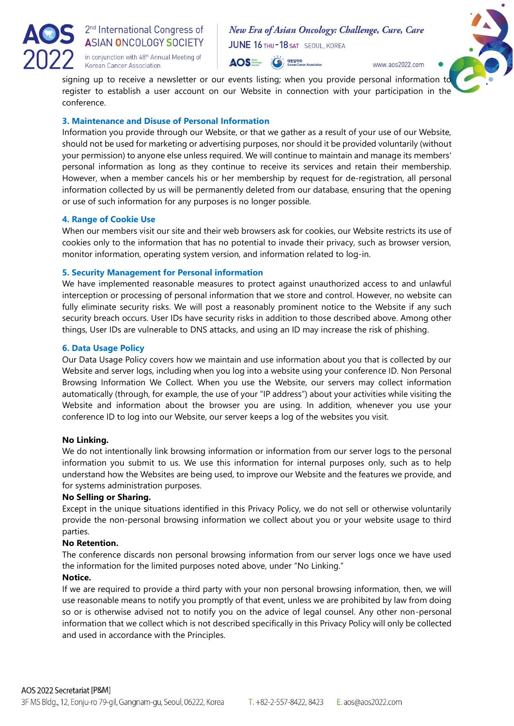

2<sup>nd</sup> International Congress of **ASIAN ONCOLOGY SOCIETY** in conjunction with 48<sup>th</sup> Annual Meeting of Korean Cancer Association

New Era of Asian Oncology: Challenge, Cure, Care JUNE 16 THU-18 SAT SEOUL, KOREA



www.aos2022.com

signing up to receive a newsletter or our events listing; when you provide personal information to register to establish a user account on our Website in connection with your participation in the conference.

# **3. Maintenance and Disuse of Personal Information**

Information you provide through our Website, or that we gather as a result of your use of our Website, should not be used for marketing or advertising purposes, nor should it be provided voluntarily (without your permission) to anyone else unless required. We will continue to maintain and manage its members' personal information as long as they continue to receive its services and retain their membership. However, when a member cancels his or her membership by request for de-registration, all personal information collected by us will be permanently deleted from our database, ensuring that the opening or use of such information for any purposes is no longer possible.

# **4. Range of Cookie Use**

When our members visit our site and their web browsers ask for cookies, our Website restricts its use of cookies only to the information that has no potential to invade their privacy, such as browser version, monitor information, operating system version, and information related to log-in.

# **5. Security Management for Personal information**

We have implemented reasonable measures to protect against unauthorized access to and unlawful interception or processing of personal information that we store and control. However, no website can fully eliminate security risks. We will post a reasonably prominent notice to the Website if any such security breach occurs. User IDs have security risks in addition to those described above. Among other things, User IDs are vulnerable to DNS attacks, and using an ID may increase the risk of phishing.

# **6. Data Usage Policy**

Our Data Usage Policy covers how we maintain and use information about you that is collected by our Website and server logs, including when you log into a website using your conference ID. Non Personal Browsing Information We Collect. When you use the Website, our servers may collect information automatically (through, for example, the use of your "IP address") about your activities while visiting the Website and information about the browser you are using. In addition, whenever you use your conference ID to log into our Website, our server keeps a log of the websites you visit.

# **No Linking.**

We do not intentionally link browsing information or information from our server logs to the personal information you submit to us. We use this information for internal purposes only, such as to help understand how the Websites are being used, to improve our Website and the features we provide, and for systems administration purposes.

# **No Selling or Sharing.**

Except in the unique situations identified in this Privacy Policy, we do not sell or otherwise voluntarily provide the non-personal browsing information we collect about you or your website usage to third parties.

# **No Retention.**

The conference discards non personal browsing information from our server logs once we have used the information for the limited purposes noted above, under "No Linking."

# **Notice.**

If we are required to provide a third party with your non personal browsing information, then, we will use reasonable means to notify you promptly of that event, unless we are prohibited by law from doing so or is otherwise advised not to notify you on the advice of legal counsel. Any other non-personal information that we collect which is not described specifically in this Privacy Policy will only be collected and used in accordance with the Principles.